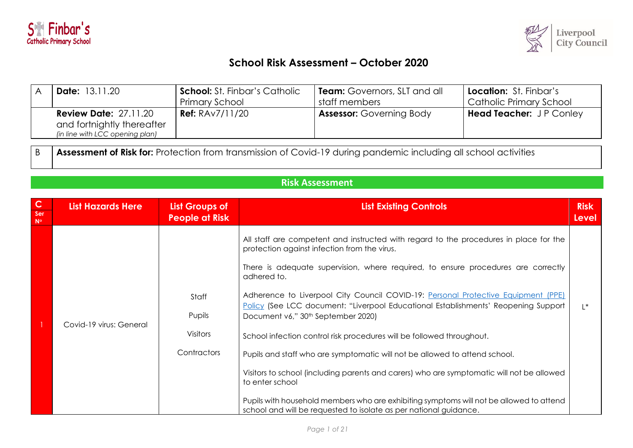



## **School Risk Assessment – October 2020**

| <b>Date:</b> 13.11.20                                         | <b>School:</b> St. Finbar's Catholic | <b>Team:</b> Governors, SLT and all | <b>Location:</b> St. Finbar's  |
|---------------------------------------------------------------|--------------------------------------|-------------------------------------|--------------------------------|
|                                                               | Primary School                       | staff members                       | Catholic Primary School        |
| <b>Review Date: 27.11.20</b>                                  | <b>Ref:</b> $RAv7/11/20$             | <b>Assessor: Governing Body</b>     | <b>Head Teacher:</b> JP Conley |
| and fortnightly thereafter<br>(in line with LCC opening plan) |                                      |                                     |                                |

**Risk Assessment**

B **Assessment of Risk for:** Protection from transmission of Covid-19 during pandemic including all school activities

| $\mathbf C$<br>Ser<br>$N^{\circ}$ | <b>List Hazards Here</b> | <b>List Groups of</b><br><b>People at Risk</b>    | <b>List Existing Controls</b>                                                                                                                                                                                                                                                                                                                                                                                                                                                                                                                                                                                                                                                                                                                                                                                                                                                                                 | <b>Risk</b><br>Level |
|-----------------------------------|--------------------------|---------------------------------------------------|---------------------------------------------------------------------------------------------------------------------------------------------------------------------------------------------------------------------------------------------------------------------------------------------------------------------------------------------------------------------------------------------------------------------------------------------------------------------------------------------------------------------------------------------------------------------------------------------------------------------------------------------------------------------------------------------------------------------------------------------------------------------------------------------------------------------------------------------------------------------------------------------------------------|----------------------|
|                                   | Covid-19 virus: General  | Staff<br>Pupils<br><b>Visitors</b><br>Contractors | All staff are competent and instructed with regard to the procedures in place for the<br>protection against infection from the virus.<br>There is adequate supervision, where required, to ensure procedures are correctly<br>adhered to.<br>Adherence to Liverpool City Council COVID-19: Personal Protective Equipment (PPE)<br>Policy (See LCC document: "Liverpool Educational Establishments' Reopening Support<br>Document v6," 30 <sup>th</sup> September 2020)<br>School infection control risk procedures will be followed throughout.<br>Pupils and staff who are symptomatic will not be allowed to attend school.<br>Visitors to school (including parents and carers) who are symptomatic will not be allowed<br>to enter school<br>Pupils with household members who are exhibiting symptoms will not be allowed to attend<br>school and will be requested to isolate as per national guidance. | $\mathsf{I}^*$       |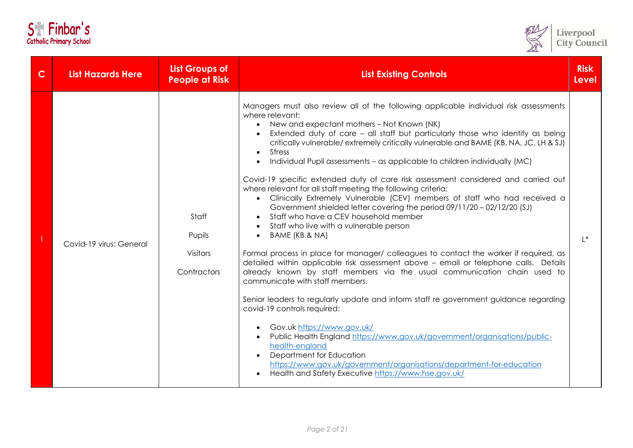| <b>S</b>                       |  | Finbar's |  |
|--------------------------------|--|----------|--|
| <b>Catholic Primary School</b> |  |          |  |



| $\mathsf{C}$ | <b>List Hazards Here</b> | <b>List Groups of</b><br><b>People at Risk</b>    | <b>List Existing Controls</b>                                                                                                                                                                                                                                                                                                                                                                                                                                                                                                                                                                                                                                                                                                                                                                                                                                                                                                                                                                                                                                                                                                                                                                                                                                                                                                                                                                                                                                                                                                                                                                                                         | <b>Risk</b><br><b>Level</b> |
|--------------|--------------------------|---------------------------------------------------|---------------------------------------------------------------------------------------------------------------------------------------------------------------------------------------------------------------------------------------------------------------------------------------------------------------------------------------------------------------------------------------------------------------------------------------------------------------------------------------------------------------------------------------------------------------------------------------------------------------------------------------------------------------------------------------------------------------------------------------------------------------------------------------------------------------------------------------------------------------------------------------------------------------------------------------------------------------------------------------------------------------------------------------------------------------------------------------------------------------------------------------------------------------------------------------------------------------------------------------------------------------------------------------------------------------------------------------------------------------------------------------------------------------------------------------------------------------------------------------------------------------------------------------------------------------------------------------------------------------------------------------|-----------------------------|
|              | Covid-19 virus: General  | Staff<br>Pupils<br><b>Visitors</b><br>Contractors | Managers must also review all of the following applicable individual risk assessments<br>where relevant:<br>• New and expectant mothers - Not Known (NK)<br>Extended duty of care - all staff but particularly those who identify as being<br>critically vulnerable/extremely critically vulnerable and BAME (KB, NA, JC, LH & SJ)<br><b>Stress</b><br>$\bullet$<br>Individual Pupil assessments - as applicable to children individually (MC)<br>$\bullet$<br>Covid-19 specific extended duty of care risk assessment considered and carried out<br>where relevant for all staff meeting the following criteria:<br>Clinically Extremely Vulnerable (CEV) members of staff who had received a<br>Government shielded letter covering the period 09/11/20 - 02/12/20 (SJ)<br>Staff who have a CEV household member<br>Staff who live with a vulnerable person<br>$\bullet$<br>BAME (KB & NA)<br>$\bullet$<br>Formal process in place for manager/ colleagues to contact the worker if required, as<br>detailed within applicable risk assessment above - email or telephone calls. Details<br>already known by staff members via the usual communication chain used to<br>communicate with staff members.<br>Senior leaders to regularly update and inform staff re government guidance regarding<br>covid-19 controls required:<br>Gov.uk https://www.gov.uk/<br>Public Health England https://www.gov.uk/government/organisations/public-<br>health-england<br>Department for Education<br>https://www.gov.uk/government/organisations/department-for-education<br>Health and Safety Executive https://www.hse.gov.uk/<br>$\bullet$ | $L^*$                       |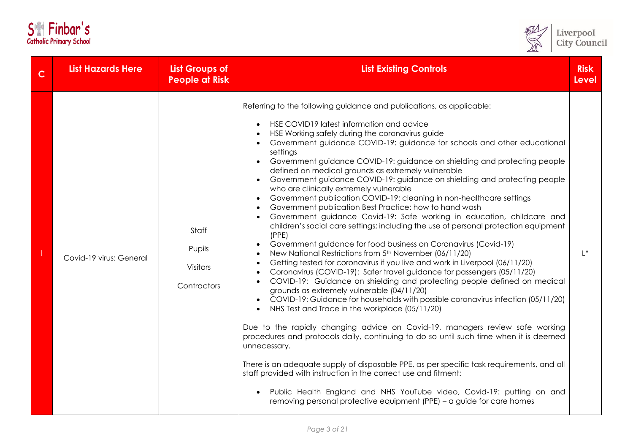| S <sup>ex</sup> Finbar's       |  |  |  |
|--------------------------------|--|--|--|
| <b>Catholic Primary School</b> |  |  |  |



| $\mathsf c$ | <b>List Hazards Here</b> | <b>List Groups of</b><br><b>People at Risk</b>    | <b>List Existing Controls</b>                                                                                                                                                                                                                                                                                                                                                                                                                                                                                                                                                                                                                                                                                                                                                                                                                                                                                                                                                                                                                                                                                                                                                                                                                                                                                                                                                                                                                                                                                                                                                                                                                                                                                                                                                                                                                                                                                      | <b>Risk</b><br><b>Level</b> |
|-------------|--------------------------|---------------------------------------------------|--------------------------------------------------------------------------------------------------------------------------------------------------------------------------------------------------------------------------------------------------------------------------------------------------------------------------------------------------------------------------------------------------------------------------------------------------------------------------------------------------------------------------------------------------------------------------------------------------------------------------------------------------------------------------------------------------------------------------------------------------------------------------------------------------------------------------------------------------------------------------------------------------------------------------------------------------------------------------------------------------------------------------------------------------------------------------------------------------------------------------------------------------------------------------------------------------------------------------------------------------------------------------------------------------------------------------------------------------------------------------------------------------------------------------------------------------------------------------------------------------------------------------------------------------------------------------------------------------------------------------------------------------------------------------------------------------------------------------------------------------------------------------------------------------------------------------------------------------------------------------------------------------------------------|-----------------------------|
|             | Covid-19 virus: General  | Staff<br>Pupils<br><b>Visitors</b><br>Contractors | Referring to the following guidance and publications, as applicable:<br>HSE COVID19 latest information and advice<br>HSE Working safely during the coronavirus guide<br>Government guidance COVID-19: guidance for schools and other educational<br>settings<br>Government guidance COVID-19: guidance on shielding and protecting people<br>defined on medical grounds as extremely vulnerable<br>Government guidance COVID-19: guidance on shielding and protecting people<br>who are clinically extremely vulnerable<br>Government publication COVID-19: cleaning in non-healthcare settings<br>Government publication Best Practice: how to hand wash<br>Government guidance Covid-19: Safe working in education, childcare and<br>children's social care settings; including the use of personal protection equipment<br>(PPE)<br>Government guidance for food business on Coronavirus (Covid-19)<br>New National Restrictions from 5th November (06/11/20)<br>Getting tested for coronavirus if you live and work in Liverpool (06/11/20)<br>Coronavirus (COVID-19): Safer travel guidance for passengers (05/11/20)<br>COVID-19: Guidance on shielding and protecting people defined on medical<br>grounds as extremely vulnerable (04/11/20)<br>COVID-19: Guidance for households with possible coronavirus infection (05/11/20)<br>NHS Test and Trace in the workplace (05/11/20)<br>Due to the rapidly changing advice on Covid-19, managers review safe working<br>procedures and protocols daily, continuing to do so until such time when it is deemed<br>unnecessary.<br>There is an adequate supply of disposable PPE, as per specific task requirements, and all<br>staff provided with instruction in the correct use and fitment:<br>Public Health England and NHS YouTube video, Covid-19: putting on and<br>$\bullet$<br>removing personal protective equipment (PPE) - a guide for care homes | $L^*$                       |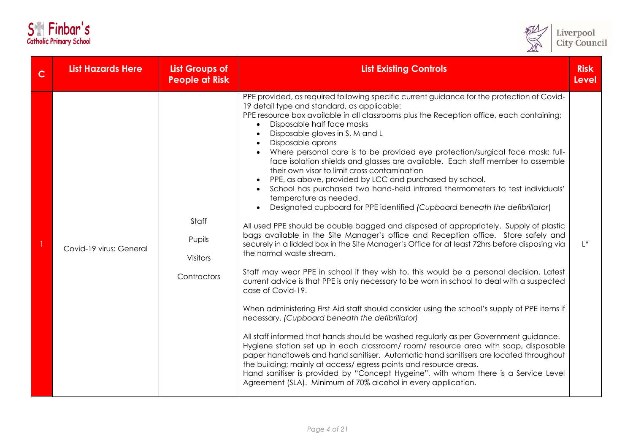| <b>S</b> | Finbar's                       |
|----------|--------------------------------|
|          | <b>Catholic Primary School</b> |



| $\mathsf{C}$ | <b>List Hazards Here</b> | <b>List Groups of</b><br><b>People at Risk</b>    | <b>List Existing Controls</b>                                                                                                                                                                                                                                                                                                                                                                                                                                                                                                                                                                                                                                                                                                                                                                                                                                                                                                                                                                                                                                                                                                                                                                                                                                                                                                                                                                                                                                                                                                                                                                                                                                                                                                                                                                                                                                                                                                                                                                     | <b>Risk</b><br><b>Level</b> |
|--------------|--------------------------|---------------------------------------------------|---------------------------------------------------------------------------------------------------------------------------------------------------------------------------------------------------------------------------------------------------------------------------------------------------------------------------------------------------------------------------------------------------------------------------------------------------------------------------------------------------------------------------------------------------------------------------------------------------------------------------------------------------------------------------------------------------------------------------------------------------------------------------------------------------------------------------------------------------------------------------------------------------------------------------------------------------------------------------------------------------------------------------------------------------------------------------------------------------------------------------------------------------------------------------------------------------------------------------------------------------------------------------------------------------------------------------------------------------------------------------------------------------------------------------------------------------------------------------------------------------------------------------------------------------------------------------------------------------------------------------------------------------------------------------------------------------------------------------------------------------------------------------------------------------------------------------------------------------------------------------------------------------------------------------------------------------------------------------------------------------|-----------------------------|
|              | Covid-19 virus: General  | Staff<br>Pupils<br><b>Visitors</b><br>Contractors | PPE provided, as required following specific current guidance for the protection of Covid-<br>19 detail type and standard, as applicable:<br>PPE resource box available in all classrooms plus the Reception office, each containing;<br>Disposable half face masks<br>$\bullet$<br>Disposable gloves in S, M and L<br>Disposable aprons<br>Where personal care is to be provided eye protection/surgical face mask: full-<br>face isolation shields and glasses are available. Each staff member to assemble<br>their own visor to limit cross contamination<br>PPE, as above, provided by LCC and purchased by school.<br>School has purchased two hand-held infrared thermometers to test individuals'<br>temperature as needed.<br>Designated cupboard for PPE identified (Cupboard beneath the defibrillator)<br>All used PPE should be double bagged and disposed of appropriately. Supply of plastic<br>bags available in the Site Manager's office and Reception office. Store safely and<br>securely in a lidded box in the Site Manager's Office for at least 72hrs before disposing via<br>the normal waste stream.<br>Staff may wear PPE in school if they wish to, this would be a personal decision. Latest<br>current advice is that PPE is only necessary to be worn in school to deal with a suspected<br>case of Covid-19.<br>When administering First Aid staff should consider using the school's supply of PPE items if<br>necessary. (Cupboard beneath the defibrillator)<br>All staff informed that hands should be washed regularly as per Government guidance.<br>Hygiene station set up in each classroom/room/resource area with soap, disposable<br>paper handtowels and hand sanitiser. Automatic hand sanitisers are located throughout<br>the building; mainly at access/egress points and resource areas.<br>Hand sanitiser is provided by "Concept Hygeine", with whom there is a Service Level<br>Agreement (SLA). Minimum of 70% alcohol in every application. | $L^*$                       |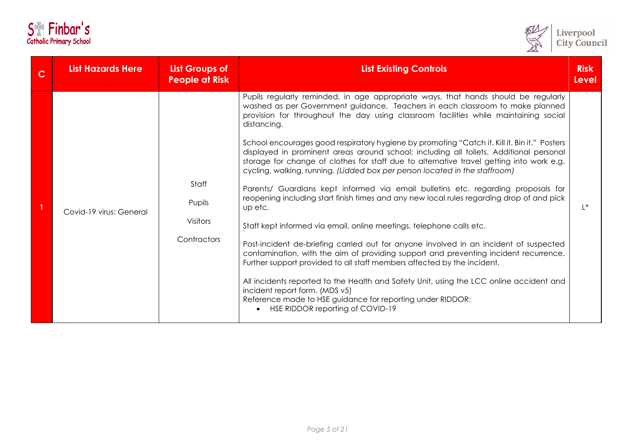| <b>S</b>                       | Finbar's |  |
|--------------------------------|----------|--|
| <b>Catholic Primary School</b> |          |  |



| <b>List Hazards Here</b> | <b>List Groups of</b><br><b>People at Risk</b>    | <b>List Existing Controls</b>                                                                                                                                                                                                                                                                                                                                                                                                                                                                                                                                                                                                                                                                                                                                                                                                                                                                                                                                                                                                                                                                                                                                                                                                                                                                                                                                                                                                | <b>Risk</b><br>Level |
|--------------------------|---------------------------------------------------|------------------------------------------------------------------------------------------------------------------------------------------------------------------------------------------------------------------------------------------------------------------------------------------------------------------------------------------------------------------------------------------------------------------------------------------------------------------------------------------------------------------------------------------------------------------------------------------------------------------------------------------------------------------------------------------------------------------------------------------------------------------------------------------------------------------------------------------------------------------------------------------------------------------------------------------------------------------------------------------------------------------------------------------------------------------------------------------------------------------------------------------------------------------------------------------------------------------------------------------------------------------------------------------------------------------------------------------------------------------------------------------------------------------------------|----------------------|
| Covid-19 virus: General  | Staff<br>Pupils<br><b>Visitors</b><br>Contractors | Pupils regularly reminded, in age appropriate ways, that hands should be regularly<br>washed as per Government guidance. Teachers in each classroom to make planned<br>provision for throughout the day using classroom facilities while maintaining social<br>distancing.<br>School encourages good respiratory hygiene by promoting "Catch it. Kill it. Bin it." Posters<br>displayed in prominent areas around school; including all toliets. Additional personal<br>storage for change of clothes for staff due to alternative travel getting into work e.g.<br>cycling, walking, running. (Lidded box per person located in the staffroom)<br>Parents/ Guardians kept informed via email bulletins etc. regarding proposals for<br>reopening including start finish times and any new local rules regarding drop of and pick<br>up etc.<br>Staff kept informed via email, online meetings, telephone calls etc.<br>Post-incident de-briefing carried out for anyone involved in an incident of suspected<br>contamination, with the aim of providing support and preventing incident recurrence.<br>Further support provided to all staff members affected by the incident.<br>All incidents reported to the Health and Safety Unit, using the LCC online accident and<br>incident report form. (MDS v5)<br>Reference made to HSE guidance for reporting under RIDDOR:<br>HSE RIDDOR reporting of COVID-19<br>$\bullet$ | $L^*$                |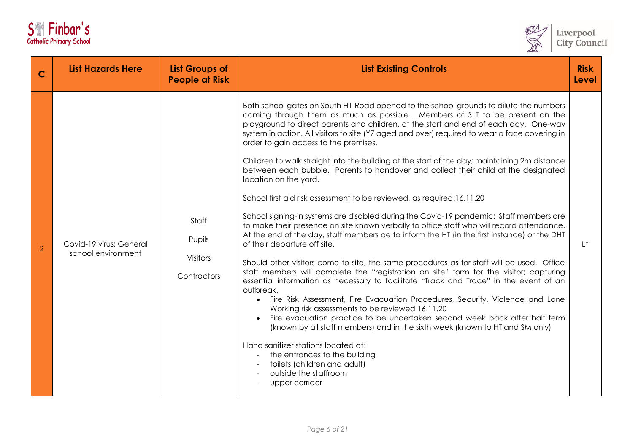|  | S <sup>e</sup> Finbar's        |
|--|--------------------------------|
|  | <b>Catholic Primary School</b> |



| C              | <b>List Hazards Here</b>                      | <b>List Groups of</b><br><b>People at Risk</b>    | <b>List Existing Controls</b>                                                                                                                                                                                                                                                                                                                                                                                                                                                                                                                                                                                                                                                                                                                                                                                                                                                                                                                                                                                                                                                                                                                                                                                                                                                                                                                                                                                                                                                                                                                                                                                                                                                                                                                                              | <b>Risk</b><br>Level |
|----------------|-----------------------------------------------|---------------------------------------------------|----------------------------------------------------------------------------------------------------------------------------------------------------------------------------------------------------------------------------------------------------------------------------------------------------------------------------------------------------------------------------------------------------------------------------------------------------------------------------------------------------------------------------------------------------------------------------------------------------------------------------------------------------------------------------------------------------------------------------------------------------------------------------------------------------------------------------------------------------------------------------------------------------------------------------------------------------------------------------------------------------------------------------------------------------------------------------------------------------------------------------------------------------------------------------------------------------------------------------------------------------------------------------------------------------------------------------------------------------------------------------------------------------------------------------------------------------------------------------------------------------------------------------------------------------------------------------------------------------------------------------------------------------------------------------------------------------------------------------------------------------------------------------|----------------------|
| $\overline{2}$ | Covid-19 virus; General<br>school environment | Staff<br>Pupils<br><b>Visitors</b><br>Contractors | Both school gates on South Hill Road opened to the school grounds to dilute the numbers<br>coming through them as much as possible. Members of SLT to be present on the<br>playground to direct parents and children, at the start and end of each day. One-way<br>system in action. All visitors to site (Y7 aged and over) required to wear a face covering in<br>order to gain access to the premises.<br>Children to walk straight into the building at the start of the day; maintaining 2m distance<br>between each bubble. Parents to handover and collect their child at the designated<br>location on the yard.<br>School first aid risk assessment to be reviewed, as required:16.11.20<br>School signing-in systems are disabled during the Covid-19 pandemic: Staff members are<br>to make their presence on site known verbally to office staff who will record attendance.<br>At the end of the day, staff members ae to inform the HT (in the first instance) or the DHT<br>of their departure off site.<br>Should other visitors come to site, the same procedures as for staff will be used. Office<br>staff members will complete the "registration on site" form for the visitor; capturing<br>essential information as necessary to facilitate "Track and Trace" in the event of an<br>outbreak.<br>Fire Risk Assessment, Fire Evacuation Procedures, Security, Violence and Lone<br>Working risk assessments to be reviewed 16.11.20<br>Fire evacuation practice to be undertaken second week back after half term<br>(known by all staff members) and in the sixth week (known to HT and SM only)<br>Hand sanitizer stations located at:<br>the entrances to the building<br>toilets (children and adult)<br>outside the staffroom<br>upper corridor | $\mathsf{I}^*$       |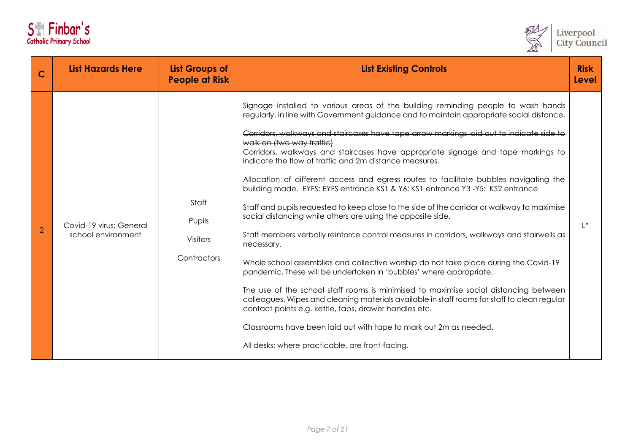| <b>S</b>                       |  | Finbar's |  |
|--------------------------------|--|----------|--|
| <b>Catholic Primary School</b> |  |          |  |



| C              | <b>List Hazards Here</b>                      | <b>List Groups of</b><br><b>People at Risk</b>    | <b>List Existing Controls</b>                                                                                                                                                                                                                                                                                                                                                                                                                                                                                                                                                                                                                                                                                                                                                                                                                                                                                                                                                                                                                                                                                                                                                                                                                                                                                                                                                                                                                   |       |
|----------------|-----------------------------------------------|---------------------------------------------------|-------------------------------------------------------------------------------------------------------------------------------------------------------------------------------------------------------------------------------------------------------------------------------------------------------------------------------------------------------------------------------------------------------------------------------------------------------------------------------------------------------------------------------------------------------------------------------------------------------------------------------------------------------------------------------------------------------------------------------------------------------------------------------------------------------------------------------------------------------------------------------------------------------------------------------------------------------------------------------------------------------------------------------------------------------------------------------------------------------------------------------------------------------------------------------------------------------------------------------------------------------------------------------------------------------------------------------------------------------------------------------------------------------------------------------------------------|-------|
| $\overline{2}$ | Covid-19 virus; General<br>school environment | Staff<br>Pupils<br><b>Visitors</b><br>Contractors | Signage installed to various areas of the building reminding people to wash hands<br>regularly, in line with Government guidance and to maintain appropriate social distance.<br>Corridors, walkways and staircases have tape arrow markings laid out to indicate side to<br>walk on (two way traffic)<br>Corridors, walkways and staircases have appropriate signage and tape markings to<br>indicate the flow of traffic and 2m distance measures.<br>Allocation of different access and egress routes to facilitate bubbles navigating the<br>building made. EYFS: EYFS entrance KS1 & Y6: KS1 entrance Y3-Y5: KS2 entrance<br>Staff and pupils requested to keep close to the side of the corridor or walkway to maximise<br>social distancing while others are using the opposite side.<br>Staff members verbally reinforce control measures in corridors, walkways and stairwells as<br>necessary.<br>Whole school assemblies and collective worship do not take place during the Covid-19<br>pandemic. These will be undertaken in 'bubbles' where appropriate.<br>The use of the school staff rooms is minimised to maximise social distancing between<br>colleagues. Wipes and cleaning materials available in staff rooms for staff to clean regular<br>contact points e.g. kettle, taps, drawer handles etc.<br>Classrooms have been laid out with tape to mark out 2m as needed.<br>All desks; where practicable, are front-facing. | $L^*$ |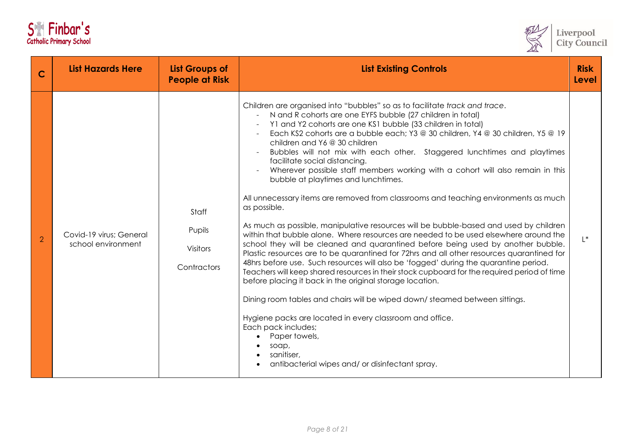|  | S <sup>e</sup> Finbar's        |
|--|--------------------------------|
|  | <b>Catholic Primary School</b> |



| C              | <b>List Hazards Here</b>                      | <b>List Groups of</b><br><b>People at Risk</b>    | <b>List Existing Controls</b>                                                                                                                                                                                                                                                                                                                                                                                                                                                                                                                                                                                                                                                                                                                                                                                                                                                                                                                                                                                                                                                                                                                                                                                                                                                                                                                                                                                                                                                                                                                                       | <b>Risk</b><br><b>Level</b> |
|----------------|-----------------------------------------------|---------------------------------------------------|---------------------------------------------------------------------------------------------------------------------------------------------------------------------------------------------------------------------------------------------------------------------------------------------------------------------------------------------------------------------------------------------------------------------------------------------------------------------------------------------------------------------------------------------------------------------------------------------------------------------------------------------------------------------------------------------------------------------------------------------------------------------------------------------------------------------------------------------------------------------------------------------------------------------------------------------------------------------------------------------------------------------------------------------------------------------------------------------------------------------------------------------------------------------------------------------------------------------------------------------------------------------------------------------------------------------------------------------------------------------------------------------------------------------------------------------------------------------------------------------------------------------------------------------------------------------|-----------------------------|
| $\overline{2}$ | Covid-19 virus; General<br>school environment | Staff<br>Pupils<br><b>Visitors</b><br>Contractors | Children are organised into "bubbles" so as to facilitate track and trace.<br>N and R cohorts are one EYFS bubble (27 children in total)<br>$\sim$<br>Y1 and Y2 cohorts are one KS1 bubble (33 children in total)<br>Each KS2 cohorts are a bubble each; Y3 @ 30 children, Y4 @ 30 children, Y5 @ 19<br>children and Y6 @ 30 children<br>Bubbles will not mix with each other. Staggered lunchtimes and playtimes<br>facilitate social distancing.<br>Wherever possible staff members working with a cohort will also remain in this<br>bubble at playtimes and lunchtimes.<br>All unnecessary items are removed from classrooms and teaching environments as much<br>as possible.<br>As much as possible, manipulative resources will be bubble-based and used by children<br>within that bubble alone. Where resources are needed to be used elsewhere around the<br>school they will be cleaned and quarantined before being used by another bubble.<br>Plastic resources are to be quarantined for 72hrs and all other resources quarantined for<br>48hrs before use. Such resources will also be 'fogged' during the quarantine period.<br>Teachers will keep shared resources in their stock cupboard for the required period of time<br>before placing it back in the original storage location.<br>Dining room tables and chairs will be wiped down/steamed between sittings.<br>Hygiene packs are located in every classroom and office.<br>Each pack includes;<br>Paper towels,<br>soap,<br>sanitiser,<br>antibacterial wipes and/ or disinfectant spray. | $L^*$                       |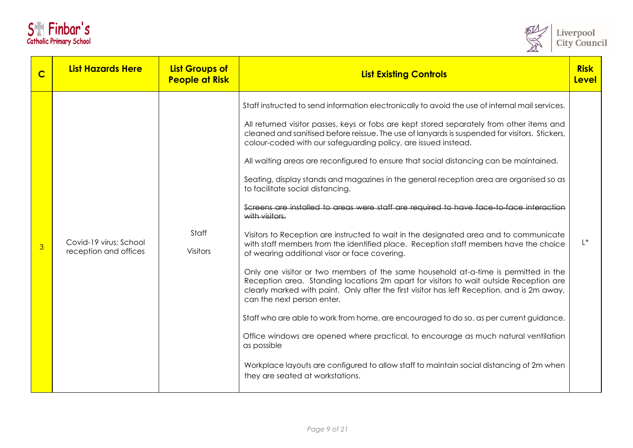|  | S <sup>e</sup> Finbar's        |
|--|--------------------------------|
|  | <b>Catholic Primary School</b> |



| C              | <b>List Hazards Here</b>                        | <b>List Groups of</b><br><b>People at Risk</b> | <b>List Existing Controls</b>                                                                                                                                                                                                                                                                                                                                                                                                                                                                                                                                                                                                                                                                                                                                                                                                                                                                                                                                                                                                                                                                                                                                                                                                                                                                                                                                                                                                                                                                                                                                                             |       |
|----------------|-------------------------------------------------|------------------------------------------------|-------------------------------------------------------------------------------------------------------------------------------------------------------------------------------------------------------------------------------------------------------------------------------------------------------------------------------------------------------------------------------------------------------------------------------------------------------------------------------------------------------------------------------------------------------------------------------------------------------------------------------------------------------------------------------------------------------------------------------------------------------------------------------------------------------------------------------------------------------------------------------------------------------------------------------------------------------------------------------------------------------------------------------------------------------------------------------------------------------------------------------------------------------------------------------------------------------------------------------------------------------------------------------------------------------------------------------------------------------------------------------------------------------------------------------------------------------------------------------------------------------------------------------------------------------------------------------------------|-------|
| $\overline{3}$ | Covid-19 virus; School<br>reception and offices | Staff<br><b>Visitors</b>                       | Staff instructed to send information electronically to avoid the use of internal mail services.<br>All returned visitor passes, keys or fobs are kept stored separately from other items and<br>cleaned and sanitised before reissue. The use of lanyards is suspended for visitors. Stickers,<br>colour-coded with our safeguarding policy, are issued instead.<br>All waiting areas are reconfigured to ensure that social distancing can be maintained.<br>Seating, display stands and magazines in the general reception area are organised so as<br>to facilitate social distancing.<br>Screens are installed to areas were staff are required to have face-to-face interaction<br>with visitors.<br>Visitors to Reception are instructed to wait in the designated area and to communicate<br>with staff members from the identified place. Reception staff members have the choice<br>of wearing additional visor or face covering.<br>Only one visitor or two members of the same household at-a-time is permitted in the<br>Reception area. Standing locations 2m apart for visitors to wait outside Reception are<br>clearly marked with paint. Only after the first visitor has left Reception, and is 2m away,<br>can the next person enter.<br>Staff who are able to work from home, are encouraged to do so, as per current guidance.<br>Office windows are opened where practical, to encourage as much natural ventilation<br>as possible<br>Workplace layouts are configured to allow staff to maintain social distancing of 2m when<br>they are seated at workstations. | $L^*$ |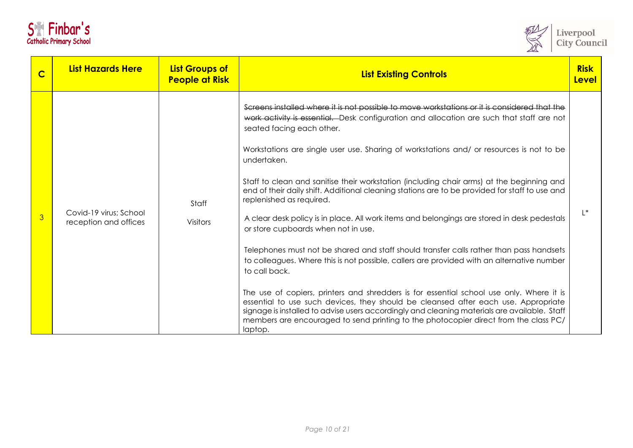|  | S <sup>ex</sup> Finbar's       |
|--|--------------------------------|
|  | <b>Catholic Primary School</b> |



| C | <b>List Hazards Here</b>                        | <b>List Groups of</b><br><b>People at Risk</b> | <b>List Existing Controls</b>                                                                                                                                                                                                                                                                                                                                                                                                                                                                                                                                                                                                                                                                                                                                                                                                                                                                                                                                                                                                                                                                                                                                                                                                                                                                     | <b>Risk</b><br>Level |
|---|-------------------------------------------------|------------------------------------------------|---------------------------------------------------------------------------------------------------------------------------------------------------------------------------------------------------------------------------------------------------------------------------------------------------------------------------------------------------------------------------------------------------------------------------------------------------------------------------------------------------------------------------------------------------------------------------------------------------------------------------------------------------------------------------------------------------------------------------------------------------------------------------------------------------------------------------------------------------------------------------------------------------------------------------------------------------------------------------------------------------------------------------------------------------------------------------------------------------------------------------------------------------------------------------------------------------------------------------------------------------------------------------------------------------|----------------------|
| 3 | Covid-19 virus; School<br>reception and offices | Staff<br><b>Visitors</b>                       | Screens installed where it is not possible to move workstations or it is considered that the<br>work activity is essential. Desk configuration and allocation are such that staff are not<br>seated facing each other.<br>Workstations are single user use. Sharing of workstations and/ or resources is not to be<br>undertaken.<br>Staff to clean and sanitise their workstation (including chair arms) at the beginning and<br>end of their daily shift. Additional cleaning stations are to be provided for staff to use and<br>replenished as required.<br>A clear desk policy is in place. All work items and belongings are stored in desk pedestals<br>or store cupboards when not in use.<br>Telephones must not be shared and staff should transfer calls rather than pass handsets<br>to colleagues. Where this is not possible, callers are provided with an alternative number<br>to call back.<br>The use of copiers, printers and shredders is for essential school use only. Where it is<br>essential to use such devices, they should be cleansed after each use. Appropriate<br>signage is installed to advise users accordingly and cleaning materials are available. Staff<br>members are encouraged to send printing to the photocopier direct from the class PC/<br>laptop. | $  *$                |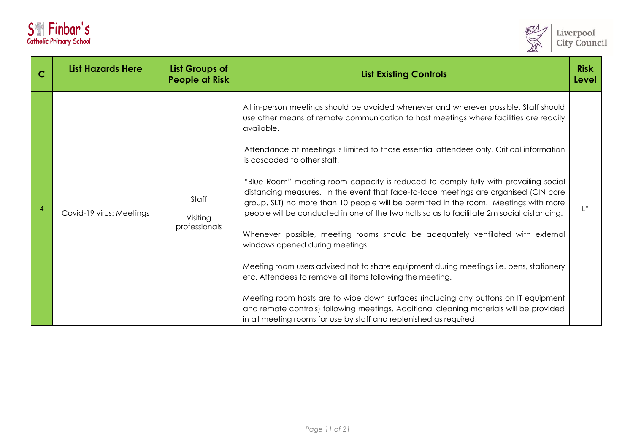| <b>S</b>                       |  | Finbar's |  |
|--------------------------------|--|----------|--|
| <b>Catholic Primary School</b> |  |          |  |



| C | <b>List Hazards Here</b> | <b>List Groups of</b><br><b>People at Risk</b> | <b>List Existing Controls</b>                                                                                                                                                                                                                                                                                                                                                                                                                                                                                                                                                                                                                                                                                                                                                                                                                                                                                                                                                                                                                                                                                                                                                                                                      |       |
|---|--------------------------|------------------------------------------------|------------------------------------------------------------------------------------------------------------------------------------------------------------------------------------------------------------------------------------------------------------------------------------------------------------------------------------------------------------------------------------------------------------------------------------------------------------------------------------------------------------------------------------------------------------------------------------------------------------------------------------------------------------------------------------------------------------------------------------------------------------------------------------------------------------------------------------------------------------------------------------------------------------------------------------------------------------------------------------------------------------------------------------------------------------------------------------------------------------------------------------------------------------------------------------------------------------------------------------|-------|
|   | Covid-19 virus: Meetings | Staff<br>Visiting<br>professionals             | All in-person meetings should be avoided whenever and wherever possible. Staff should<br>use other means of remote communication to host meetings where facilities are readily<br>available.<br>Attendance at meetings is limited to those essential attendees only. Critical information<br>is cascaded to other staff.<br>"Blue Room" meeting room capacity is reduced to comply fully with prevailing social<br>distancing measures. In the event that face-to-face meetings are organised (CIN core<br>group, SLT) no more than 10 people will be permitted in the room. Meetings with more<br>people will be conducted in one of the two halls so as to facilitate 2m social distancing.<br>Whenever possible, meeting rooms should be adequately ventilated with external<br>windows opened during meetings.<br>Meeting room users advised not to share equipment during meetings i.e. pens, stationery<br>etc. Attendees to remove all items following the meeting.<br>Meeting room hosts are to wipe down surfaces (including any buttons on IT equipment<br>and remote controls) following meetings. Additional cleaning materials will be provided<br>in all meeting rooms for use by staff and replenished as required. | $L^*$ |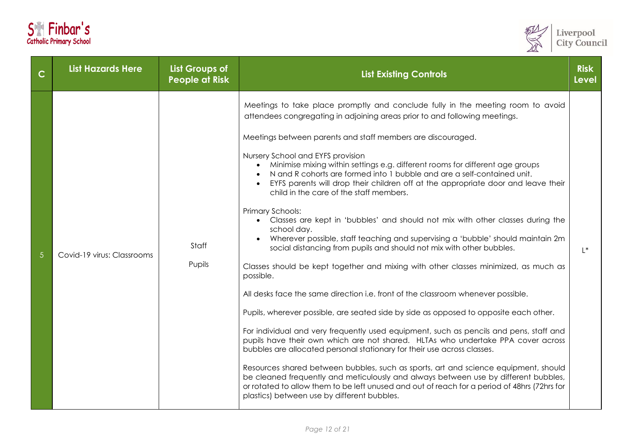| S <sup>ex</sup> Finbar's       |  |  |  |
|--------------------------------|--|--|--|
| <b>Catholic Primary School</b> |  |  |  |



| $\mathsf{C}$ | <b>List Hazards Here</b>   | <b>List Groups of</b><br><b>People at Risk</b> | <b>List Existing Controls</b>                                                                                                                                                                                                                                                                                                                                                                                                                                                                                                                                                                                                                                                                                                                                                                                                                                                                                                                                                                                                                                                                                                                                                                                                                                                                                                                                                                                                                                                                                                                                                                                                                                                                                        |       |
|--------------|----------------------------|------------------------------------------------|----------------------------------------------------------------------------------------------------------------------------------------------------------------------------------------------------------------------------------------------------------------------------------------------------------------------------------------------------------------------------------------------------------------------------------------------------------------------------------------------------------------------------------------------------------------------------------------------------------------------------------------------------------------------------------------------------------------------------------------------------------------------------------------------------------------------------------------------------------------------------------------------------------------------------------------------------------------------------------------------------------------------------------------------------------------------------------------------------------------------------------------------------------------------------------------------------------------------------------------------------------------------------------------------------------------------------------------------------------------------------------------------------------------------------------------------------------------------------------------------------------------------------------------------------------------------------------------------------------------------------------------------------------------------------------------------------------------------|-------|
|              | Covid-19 virus: Classrooms | Staff<br>Pupils                                | Meetings to take place promptly and conclude fully in the meeting room to avoid<br>attendees congregating in adjoining areas prior to and following meetings.<br>Meetings between parents and staff members are discouraged.<br>Nursery School and EYFS provision<br>Minimise mixing within settings e.g. different rooms for different age groups<br>N and R cohorts are formed into 1 bubble and are a self-contained unit.<br>EYFS parents will drop their children off at the appropriate door and leave their<br>child in the care of the staff members.<br>Primary Schools:<br>Classes are kept in 'bubbles' and should not mix with other classes during the<br>school day.<br>Wherever possible, staff teaching and supervising a 'bubble' should maintain 2m<br>social distancing from pupils and should not mix with other bubbles.<br>Classes should be kept together and mixing with other classes minimized, as much as<br>possible.<br>All desks face the same direction i.e. front of the classroom whenever possible.<br>Pupils, wherever possible, are seated side by side as opposed to opposite each other.<br>For individual and very frequently used equipment, such as pencils and pens, staff and<br>pupils have their own which are not shared. HLTAs who undertake PPA cover across<br>bubbles are allocated personal stationary for their use across classes.<br>Resources shared between bubbles, such as sports, art and science equipment, should<br>be cleaned frequently and meticulously and always between use by different bubbles,<br>or rotated to allow them to be left unused and out of reach for a period of 48hrs (72hrs for<br>plastics) between use by different bubbles. | $L^*$ |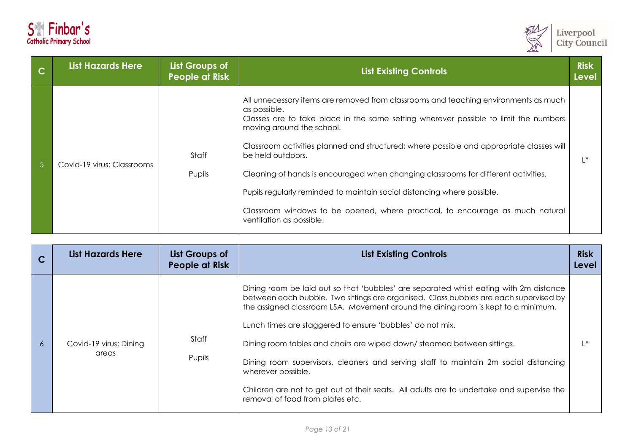



|            | <b>List Hazards Here</b>   | List Groups of<br><b>People at Risk</b> | <b>List Existing Controls</b>                                                                                                                                                                                                                                                                                                                                                                                                                                                                                                                                                                                           | <b>Risk</b><br><b>Level</b> |
|------------|----------------------------|-----------------------------------------|-------------------------------------------------------------------------------------------------------------------------------------------------------------------------------------------------------------------------------------------------------------------------------------------------------------------------------------------------------------------------------------------------------------------------------------------------------------------------------------------------------------------------------------------------------------------------------------------------------------------------|-----------------------------|
| $\sqrt{5}$ | Covid-19 virus: Classrooms | Staff<br>Pupils                         | All unnecessary items are removed from classrooms and teaching environments as much<br>as possible.<br>Classes are to take place in the same setting wherever possible to limit the numbers<br>moving around the school.<br>Classroom activities planned and structured; where possible and appropriate classes will<br>be held outdoors.<br>Cleaning of hands is encouraged when changing classrooms for different activities.<br>Pupils regularly reminded to maintain social distancing where possible.<br>Classroom windows to be opened, where practical, to encourage as much natural<br>ventilation as possible. | $\mathsf{I}^*$              |

| C | <b>List Hazards Here</b>        | List Groups of<br>People at Risk | <b>List Existing Controls</b>                                                                                                                                                                                                                                                                                                                                                                                                                                                                                                                                                                                                                              | <b>Risk</b><br>Level |
|---|---------------------------------|----------------------------------|------------------------------------------------------------------------------------------------------------------------------------------------------------------------------------------------------------------------------------------------------------------------------------------------------------------------------------------------------------------------------------------------------------------------------------------------------------------------------------------------------------------------------------------------------------------------------------------------------------------------------------------------------------|----------------------|
| 6 | Covid-19 virus: Dining<br>areas | Staff<br>Pupils                  | Dining room be laid out so that 'bubbles' are separated whilst eating with 2m distance<br>between each bubble. Two sittings are organised. Class bubbles are each supervised by<br>the assigned classroom LSA. Movement around the dining room is kept to a minimum.<br>Lunch times are staggered to ensure 'bubbles' do not mix.<br>Dining room tables and chairs are wiped down/steamed between sittings.<br>Dining room supervisors, cleaners and serving staff to maintain 2m social distancing<br>wherever possible.<br>Children are not to get out of their seats. All adults are to undertake and supervise the<br>removal of food from plates etc. |                      |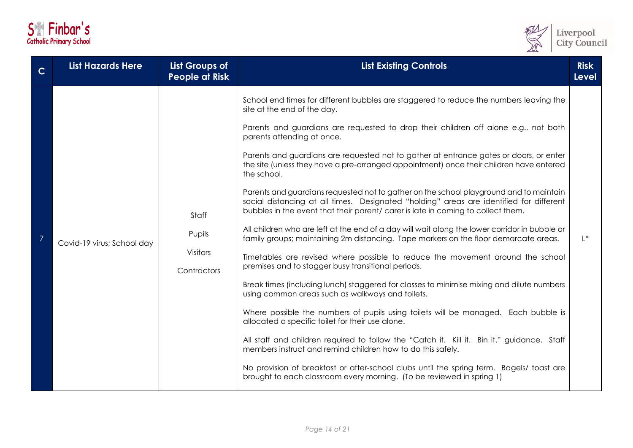| S <sup>e</sup> Finbar's        |  |  |  |
|--------------------------------|--|--|--|
| <b>Catholic Primary School</b> |  |  |  |



| $\mathbf C$ | <b>List Hazards Here</b>   | <b>List Groups of</b><br><b>People at Risk</b>    | <b>List Existing Controls</b>                                                                                                                                                                                                                                                                                                                                                                                                                                                                                                                                                                                                                                                                                                                                                                                                                                                                                                                                                                                                                                                                                                                                                                                                                                                                                                                                                                                                                                                                                                                                                                                                                                                         |       |
|-------------|----------------------------|---------------------------------------------------|---------------------------------------------------------------------------------------------------------------------------------------------------------------------------------------------------------------------------------------------------------------------------------------------------------------------------------------------------------------------------------------------------------------------------------------------------------------------------------------------------------------------------------------------------------------------------------------------------------------------------------------------------------------------------------------------------------------------------------------------------------------------------------------------------------------------------------------------------------------------------------------------------------------------------------------------------------------------------------------------------------------------------------------------------------------------------------------------------------------------------------------------------------------------------------------------------------------------------------------------------------------------------------------------------------------------------------------------------------------------------------------------------------------------------------------------------------------------------------------------------------------------------------------------------------------------------------------------------------------------------------------------------------------------------------------|-------|
|             | Covid-19 virus; School day | Staff<br>Pupils<br><b>Visitors</b><br>Contractors | School end times for different bubbles are staggered to reduce the numbers leaving the<br>site at the end of the day.<br>Parents and guardians are requested to drop their children off alone e.g., not both<br>parents attending at once.<br>Parents and guardians are requested not to gather at entrance gates or doors, or enter<br>the site (unless they have a pre-arranged appointment) once their children have entered<br>the school.<br>Parents and guardians requested not to gather on the school playground and to maintain<br>social distancing at all times. Designated "holding" areas are identified for different<br>bubbles in the event that their parent/ carer is late in coming to collect them.<br>All children who are left at the end of a day will wait along the lower corridor in bubble or<br>family groups; maintaining 2m distancing. Tape markers on the floor demarcate areas.<br>Timetables are revised where possible to reduce the movement around the school<br>premises and to stagger busy transitional periods.<br>Break times (including lunch) staggered for classes to minimise mixing and dilute numbers<br>using common areas such as walkways and toilets.<br>Where possible the numbers of pupils using toilets will be managed. Each bubble is<br>allocated a specific toilet for their use alone.<br>All staff and children required to follow the "Catch it. Kill it. Bin it." guidance. Staff<br>members instruct and remind children how to do this safely.<br>No provision of breakfast or after-school clubs until the spring term. Bagels/ toast are<br>brought to each classroom every morning. (To be reviewed in spring 1) | $L^*$ |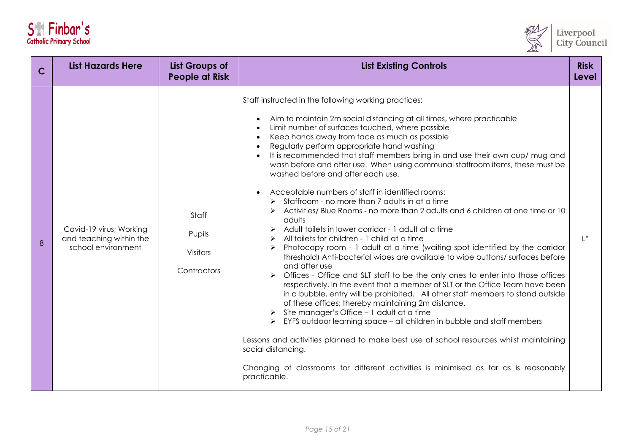| S <sup>e</sup> Finbar's        |  |  |  |
|--------------------------------|--|--|--|
| <b>Catholic Primary School</b> |  |  |  |



| C | <b>List Hazards Here</b>                                                 | <b>List Groups of</b><br><b>People at Risk</b>    | <b>List Existing Controls</b>                                                                                                                                                                                                                                                                                                                                                                                                                                                                                                                                                                                                                                                                                                                                                                                                                                                                                                                                                                                                                                                                                                                                                                                                                                                                                                                                                                                                                                                                                                                                                                                                                                                                                                             | <b>Risk</b><br><b>Level</b> |
|---|--------------------------------------------------------------------------|---------------------------------------------------|-------------------------------------------------------------------------------------------------------------------------------------------------------------------------------------------------------------------------------------------------------------------------------------------------------------------------------------------------------------------------------------------------------------------------------------------------------------------------------------------------------------------------------------------------------------------------------------------------------------------------------------------------------------------------------------------------------------------------------------------------------------------------------------------------------------------------------------------------------------------------------------------------------------------------------------------------------------------------------------------------------------------------------------------------------------------------------------------------------------------------------------------------------------------------------------------------------------------------------------------------------------------------------------------------------------------------------------------------------------------------------------------------------------------------------------------------------------------------------------------------------------------------------------------------------------------------------------------------------------------------------------------------------------------------------------------------------------------------------------------|-----------------------------|
| 8 | Covid-19 virus; Working<br>and teaching within the<br>school environment | Staff<br>Pupils<br><b>Visitors</b><br>Contractors | Staff instructed in the following working practices:<br>Aim to maintain 2m social distancing at all times, where practicable<br>$\bullet$<br>Limit number of surfaces touched, where possible<br>$\bullet$<br>Keep hands away from face as much as possible<br>$\bullet$<br>Regularly perform appropriate hand washing<br>$\bullet$<br>It is recommended that staff members bring in and use their own cup/ mug and<br>$\bullet$<br>wash before and after use. When using communal staffroom items, these must be<br>washed before and after each use.<br>Acceptable numbers of staff in identified rooms:<br>$\bullet$<br>$\triangleright$ Staffroom - no more than 7 adults in at a time<br>Activities/ Blue Rooms - no more than 2 adults and 6 children at one time or 10<br>adults<br>Adult toilets in lower corridor - 1 adult at a time<br>All toilets for children - 1 child at a time<br>Photocopy room - 1 adult at a time (waiting spot identified by the corridor<br>threshold) Anti-bacterial wipes are available to wipe buttons/surfaces before<br>and after use<br>Offices - Office and SLT staff to be the only ones to enter into those offices<br>respectively. In the event that a member of SLT or the Office Team have been<br>in a bubble, entry will be prohibited. All other staff members to stand outside<br>of these offices; thereby maintaining 2m distance.<br>Site manager's Office - 1 adult at a time<br>EYFS outdoor learning space - all children in bubble and staff members<br>Lessons and activities planned to make best use of school resources whilst maintaining<br>social distancing.<br>Changing of classrooms for different activities is minimised as far as is reasonably<br>practicable. | $L^*$                       |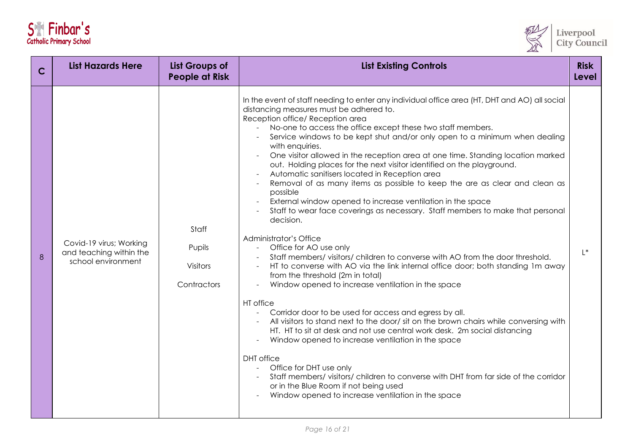| S <sup>e</sup> Finbar's        |  |
|--------------------------------|--|
| <b>Catholic Primary School</b> |  |



| $\mathbf C$ | <b>List Hazards Here</b>                                                 | <b>List Groups of</b><br><b>People at Risk</b>    | <b>List Existing Controls</b>                                                                                                                                                                                                                                                                                                                                                                                                                                                                                                                                                                                                                                                                                                                                                                                                                                                                                                                                                                                                                                                                                                                                                                                                                                                                                                                                                                                                                                                                                                                                                                                                                                                    | <b>Risk</b><br>Level |
|-------------|--------------------------------------------------------------------------|---------------------------------------------------|----------------------------------------------------------------------------------------------------------------------------------------------------------------------------------------------------------------------------------------------------------------------------------------------------------------------------------------------------------------------------------------------------------------------------------------------------------------------------------------------------------------------------------------------------------------------------------------------------------------------------------------------------------------------------------------------------------------------------------------------------------------------------------------------------------------------------------------------------------------------------------------------------------------------------------------------------------------------------------------------------------------------------------------------------------------------------------------------------------------------------------------------------------------------------------------------------------------------------------------------------------------------------------------------------------------------------------------------------------------------------------------------------------------------------------------------------------------------------------------------------------------------------------------------------------------------------------------------------------------------------------------------------------------------------------|----------------------|
| 8           | Covid-19 virus; Working<br>and teaching within the<br>school environment | Staff<br>Pupils<br><b>Visitors</b><br>Contractors | In the event of staff needing to enter any individual office area (HT, DHT and AO) all social<br>distancing measures must be adhered to.<br>Reception office/ Reception area<br>No-one to access the office except these two staff members.<br>Service windows to be kept shut and/or only open to a minimum when dealing<br>with enquiries.<br>One visitor allowed in the reception area at one time. Standing location marked<br>out. Holding places for the next visitor identified on the playground.<br>Automatic sanitisers located in Reception area<br>Removal of as many items as possible to keep the are as clear and clean as<br>possible<br>External window opened to increase ventilation in the space<br>Staff to wear face coverings as necessary. Staff members to make that personal<br>decision.<br>Administrator's Office<br>Office for AO use only<br>Staff members/ visitors/ children to converse with AO from the door threshold.<br>HT to converse with AO via the link internal office door; both standing 1m away<br>from the threshold (2m in total)<br>Window opened to increase ventilation in the space<br>HT office<br>Corridor door to be used for access and egress by all.<br>All visitors to stand next to the door/ sit on the brown chairs while conversing with<br>HT. HT to sit at desk and not use central work desk. 2m social distancing<br>Window opened to increase ventilation in the space<br><b>DHT</b> office<br>Office for DHT use only<br>Staff members/ visitors/ children to converse with DHT from far side of the corridor<br>or in the Blue Room if not being used<br>Window opened to increase ventilation in the space | $L^*$                |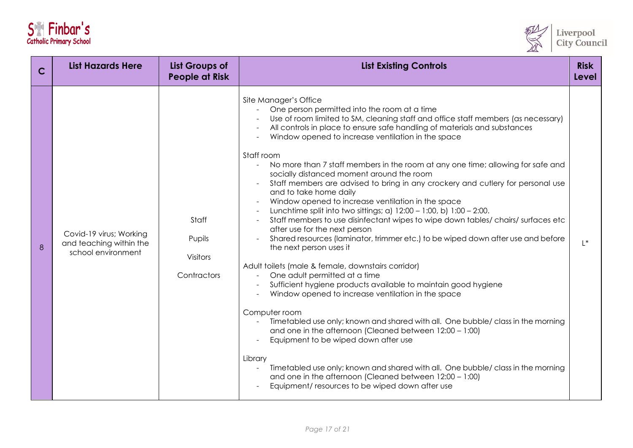| S <sup>e</sup> Finbar's        |  |  |  |
|--------------------------------|--|--|--|
| <b>Catholic Primary School</b> |  |  |  |



| $\mathsf{C}$ | <b>List Hazards Here</b>                                                 | <b>List Groups of</b><br><b>People at Risk</b> | <b>List Existing Controls</b>                                                                                                                                                                                                                                                                                                                                                                                                                                                                                                                                                                                                                                                                                                                                                                                                                                                                                                                                                                                                                                                                                                                                                                                                                                                                                                                                                                                                                                                                                                                                                                                                     | <b>Risk</b><br>Level |
|--------------|--------------------------------------------------------------------------|------------------------------------------------|-----------------------------------------------------------------------------------------------------------------------------------------------------------------------------------------------------------------------------------------------------------------------------------------------------------------------------------------------------------------------------------------------------------------------------------------------------------------------------------------------------------------------------------------------------------------------------------------------------------------------------------------------------------------------------------------------------------------------------------------------------------------------------------------------------------------------------------------------------------------------------------------------------------------------------------------------------------------------------------------------------------------------------------------------------------------------------------------------------------------------------------------------------------------------------------------------------------------------------------------------------------------------------------------------------------------------------------------------------------------------------------------------------------------------------------------------------------------------------------------------------------------------------------------------------------------------------------------------------------------------------------|----------------------|
| 8            | Covid-19 virus; Working<br>and teaching within the<br>school environment | Staff<br>Pupils<br>Visitors<br>Contractors     | Site Manager's Office<br>One person permitted into the room at a time<br>Use of room limited to SM, cleaning staff and office staff members (as necessary)<br>All controls in place to ensure safe handling of materials and substances<br>Window opened to increase ventilation in the space<br>Staff room<br>No more than 7 staff members in the room at any one time; allowing for safe and<br>$\omega$<br>socially distanced moment around the room<br>Staff members are advised to bring in any crockery and cutlery for personal use<br>and to take home daily<br>Window opened to increase ventilation in the space<br>Lunchtime split into two sittings; a) $12:00 - 1:00$ , b) $1:00 - 2:00$ .<br>Staff members to use disinfectant wipes to wipe down tables/ chairs/ surfaces etc<br>after use for the next person<br>Shared resources (laminator, trimmer etc.) to be wiped down after use and before<br>the next person uses it<br>Adult toilets (male & female, downstairs corridor)<br>One adult permitted at a time<br>Sufficient hygiene products available to maintain good hygiene<br>Window opened to increase ventilation in the space<br>Computer room<br>Timetabled use only; known and shared with all. One bubble/ class in the morning<br>$\mathcal{L}_{\mathcal{A}}$<br>and one in the afternoon (Cleaned between 12:00 - 1:00)<br>Equipment to be wiped down after use<br>Library<br>Timetabled use only; known and shared with all. One bubble/ class in the morning<br>$\blacksquare$<br>and one in the afternoon (Cleaned between 12:00 - 1:00)<br>Equipment/ resources to be wiped down after use | $L^*$                |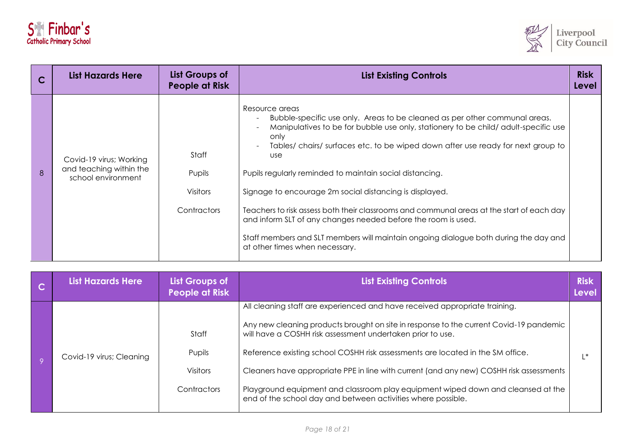



|   | <b>List Hazards Here</b>                                                 | List Groups of<br><b>People at Risk</b>           | <b>List Existing Controls</b>                                                                                                                                                                                                                                                                                                                                                                                                                                                                                                                                                                                                                                                                                                                                     | <b>Risk</b><br>Level |
|---|--------------------------------------------------------------------------|---------------------------------------------------|-------------------------------------------------------------------------------------------------------------------------------------------------------------------------------------------------------------------------------------------------------------------------------------------------------------------------------------------------------------------------------------------------------------------------------------------------------------------------------------------------------------------------------------------------------------------------------------------------------------------------------------------------------------------------------------------------------------------------------------------------------------------|----------------------|
| 8 | Covid-19 virus; Working<br>and teaching within the<br>school environment | Staff<br>Pupils<br><b>Visitors</b><br>Contractors | Resource areas<br>Bubble-specific use only. Areas to be cleaned as per other communal areas.<br>$\overline{\phantom{a}}$<br>Manipulatives to be for bubble use only, stationery to be child/adult-specific use<br>only<br>Tables/chairs/surfaces etc. to be wiped down after use ready for next group to<br>$\overline{\phantom{a}}$<br><b>use</b><br>Pupils regularly reminded to maintain social distancing.<br>Signage to encourage 2m social distancing is displayed.<br>Teachers to risk assess both their classrooms and communal areas at the start of each day<br>and inform SLT of any changes needed before the room is used.<br>Staff members and SLT members will maintain ongoing dialogue both during the day and<br>at other times when necessary. |                      |

| <b>List Hazards Here</b> | List Groups of<br><b>People at Risk</b>           | <b>List Existing Controls</b>                                                                                                                                                                                                                                                                                                                                                                                                                                                                                                                                       | <b>Risk</b><br><b>Level</b> |
|--------------------------|---------------------------------------------------|---------------------------------------------------------------------------------------------------------------------------------------------------------------------------------------------------------------------------------------------------------------------------------------------------------------------------------------------------------------------------------------------------------------------------------------------------------------------------------------------------------------------------------------------------------------------|-----------------------------|
| Covid-19 virus; Cleaning | Staff<br>Pupils<br><b>Visitors</b><br>Contractors | All cleaning staff are experienced and have received appropriate training.<br>Any new cleaning products brought on site in response to the current Covid-19 pandemic<br>will have a COSHH risk assessment undertaken prior to use.<br>Reference existing school COSHH risk assessments are located in the SM office.<br>Cleaners have appropriate PPE in line with current (and any new) COSHH risk assessments<br>Playground equipment and classroom play equipment wiped down and cleansed at the<br>end of the school day and between activities where possible. |                             |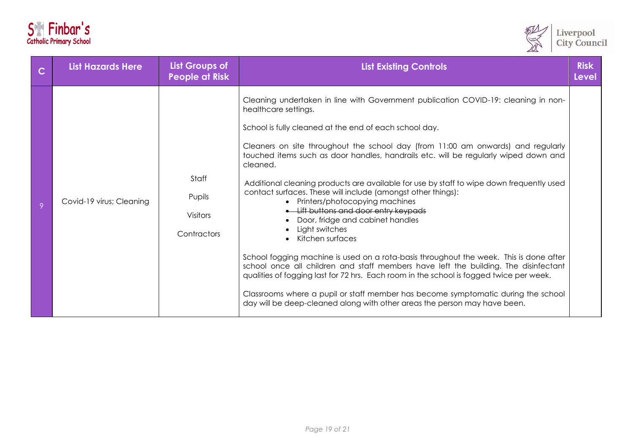| S <sup>e</sup> Finbar's        |  |
|--------------------------------|--|
| <b>Catholic Primary School</b> |  |



| $\overline{C}$ | <b>List Hazards Here</b> | <b>List Groups of</b><br><b>People at Risk</b>    | <b>List Existing Controls</b>                                                                                                                                                                                                                                                                                                                                                                                                                                                                                                                                                                                                                                                                                                                                                                                                                                                                                                                                                                                                                                                                                                             | <b>Risk</b><br><b>Level</b> |
|----------------|--------------------------|---------------------------------------------------|-------------------------------------------------------------------------------------------------------------------------------------------------------------------------------------------------------------------------------------------------------------------------------------------------------------------------------------------------------------------------------------------------------------------------------------------------------------------------------------------------------------------------------------------------------------------------------------------------------------------------------------------------------------------------------------------------------------------------------------------------------------------------------------------------------------------------------------------------------------------------------------------------------------------------------------------------------------------------------------------------------------------------------------------------------------------------------------------------------------------------------------------|-----------------------------|
| 9              | Covid-19 virus; Cleaning | Staff<br>Pupils<br><b>Visitors</b><br>Contractors | Cleaning undertaken in line with Government publication COVID-19: cleaning in non-<br>healthcare settings.<br>School is fully cleaned at the end of each school day.<br>Cleaners on site throughout the school day (from 11:00 am onwards) and regularly<br>touched items such as door handles, handrails etc. will be regularly wiped down and<br>cleaned.<br>Additional cleaning products are available for use by staff to wipe down frequently used<br>contact surfaces. These will include (amongst other things):<br>• Printers/photocopying machines<br>• Lift buttons and door entry keypads<br>Door, fridge and cabinet handles<br>Light switches<br>Kitchen surfaces<br>$\bullet$<br>School fogging machine is used on a rota-basis throughout the week. This is done after<br>school once all children and staff members have left the building. The disinfectant<br>qualities of fogging last for 72 hrs. Each room in the school is fogged twice per week.<br>Classrooms where a pupil or staff member has become symptomatic during the school<br>day will be deep-cleaned along with other areas the person may have been. |                             |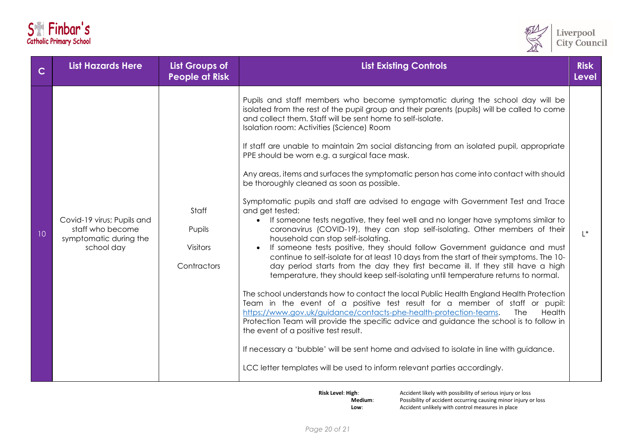|  | S <sup>e</sup> Finbar's        |
|--|--------------------------------|
|  | <b>Catholic Primary School</b> |



| $\overline{\mathbf{C}}$ | <b>List Hazards Here</b>                                                               | <b>List Groups of</b><br><b>People at Risk</b>    | <b>List Existing Controls</b><br><b>Level</b>                                                                                                                                                                                                                                                                                                                                                                                                                                                                                                                                                                                                                                                                                                                                                                                                                                                                                                                                                                                                                                                                                                                                                                                                                                                                                                                                                                                                                                                                                                                                                                                                                                                                                                                                                                               |       |
|-------------------------|----------------------------------------------------------------------------------------|---------------------------------------------------|-----------------------------------------------------------------------------------------------------------------------------------------------------------------------------------------------------------------------------------------------------------------------------------------------------------------------------------------------------------------------------------------------------------------------------------------------------------------------------------------------------------------------------------------------------------------------------------------------------------------------------------------------------------------------------------------------------------------------------------------------------------------------------------------------------------------------------------------------------------------------------------------------------------------------------------------------------------------------------------------------------------------------------------------------------------------------------------------------------------------------------------------------------------------------------------------------------------------------------------------------------------------------------------------------------------------------------------------------------------------------------------------------------------------------------------------------------------------------------------------------------------------------------------------------------------------------------------------------------------------------------------------------------------------------------------------------------------------------------------------------------------------------------------------------------------------------------|-------|
| 10                      | Covid-19 virus; Pupils and<br>staff who become<br>symptomatic during the<br>school day | Staff<br>Pupils<br><b>Visitors</b><br>Contractors | Pupils and staff members who become symptomatic during the school day will be<br>isolated from the rest of the pupil group and their parents (pupils) will be called to come<br>and collect them. Staff will be sent home to self-isolate.<br>Isolation room: Activities (Science) Room<br>If staff are unable to maintain 2m social distancing from an isolated pupil, appropriate<br>PPE should be worn e.g. a surgical face mask.<br>Any areas, items and surfaces the symptomatic person has come into contact with should<br>be thoroughly cleaned as soon as possible.<br>Symptomatic pupils and staff are advised to engage with Government Test and Trace<br>and get tested:<br>If someone tests negative, they feel well and no longer have symptoms similar to<br>coronavirus (COVID-19), they can stop self-isolating. Other members of their<br>household can stop self-isolating.<br>If someone tests positive, they should follow Government guidance and must<br>continue to self-isolate for at least 10 days from the start of their symptoms. The 10-<br>day period starts from the day they first became ill. If they still have a high<br>temperature, they should keep self-isolating until temperature returns to normal.<br>The school understands how to contact the local Public Health England Health Protection<br>Team in the event of a positive test result for a member of staff or pupil:<br>https://www.gov.uk/guidance/contacts-phe-health-protection-teams.<br>Health<br>The<br>Protection Team will provide the specific advice and guidance the school is to follow in<br>the event of a positive test result.<br>If necessary a 'bubble' will be sent home and advised to isolate in line with guidance.<br>LCC letter templates will be used to inform relevant parties accordingly. | $L^*$ |

**Risk Level: High:** Accident likely with possibility of serious injury or loss<br>Medium: Possibility of accident occurring causing minor injury o **Possibility of accident occurring causing minor injury or loss Low:** Accident unlikely with control measures in place